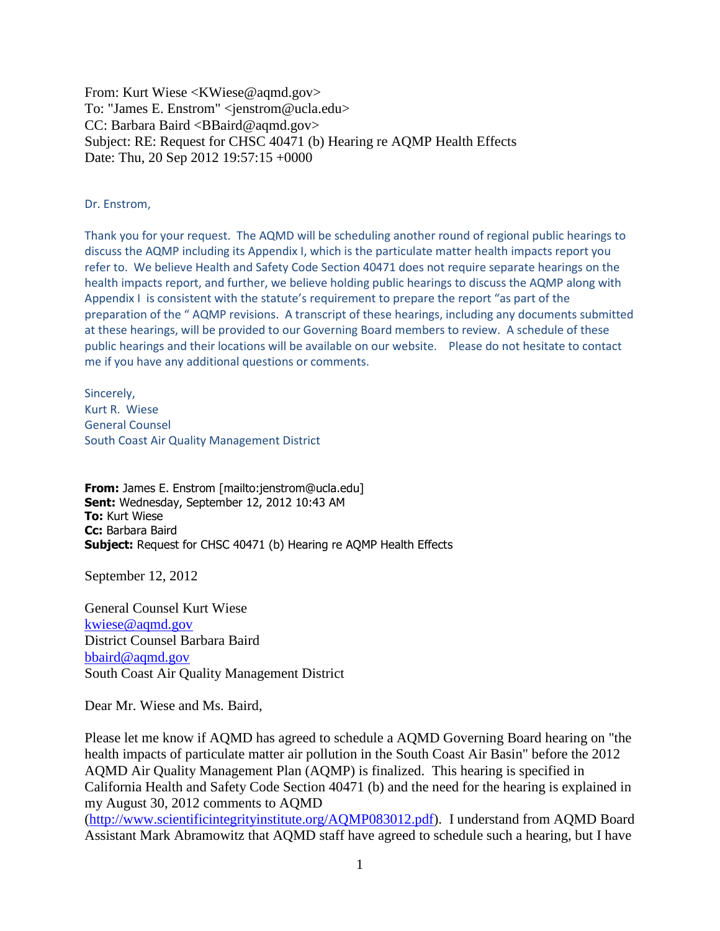From: Kurt Wiese <KWiese@aqmd.gov> To: "James E. Enstrom" <jenstrom@ucla.edu> CC: Barbara Baird <BBaird@aqmd.gov> Subject: RE: Request for CHSC 40471 (b) Hearing re AQMP Health Effects Date: Thu, 20 Sep 2012 19:57:15 +0000

## Dr. Enstrom,

Thank you for your request. The AQMD will be scheduling another round of regional public hearings to discuss the AQMP including its Appendix I, which is the particulate matter health impacts report you refer to. We believe Health and Safety Code Section 40471 does not require separate hearings on the health impacts report, and further, we believe holding public hearings to discuss the AQMP along with Appendix I is consistent with the statute's requirement to prepare the report "as part of the preparation of the " AQMP revisions. A transcript of these hearings, including any documents submitted at these hearings, will be provided to our Governing Board members to review. A schedule of these public hearings and their locations will be available on our website. Please do not hesitate to contact me if you have any additional questions or comments.

Sincerely, Kurt R. Wiese General Counsel South Coast Air Quality Management District

**From:** James E. Enstrom [mailto:jenstrom@ucla.edu] **Sent:** Wednesday, September 12, 2012 10:43 AM **To:** Kurt Wiese **Cc:** Barbara Baird **Subject:** Request for CHSC 40471 (b) Hearing re AQMP Health Effects

September 12, 2012

General Counsel Kurt Wiese [kwiese@aqmd.gov](mailto:kwiese@aqmd.gov) District Counsel Barbara Baird [bbaird@aqmd.gov](mailto:bbaird@aqmd.gov) South Coast Air Quality Management District

Dear Mr. Wiese and Ms. Baird,

Please let me know if AQMD has agreed to schedule a AQMD Governing Board hearing on "the health impacts of particulate matter air pollution in the South Coast Air Basin" before the 2012 AQMD Air Quality Management Plan (AQMP) is finalized. This hearing is specified in California Health and Safety Code Section 40471 (b) and the need for the hearing is explained in my August 30, 2012 comments to AQMD

[\(http://www.scientificintegrityinstitute.org/AQMP083012.pdf\)](http://www.scientificintegrityinstitute.org/AQMP083012.pdf). I understand from AQMD Board Assistant Mark Abramowitz that AQMD staff have agreed to schedule such a hearing, but I have